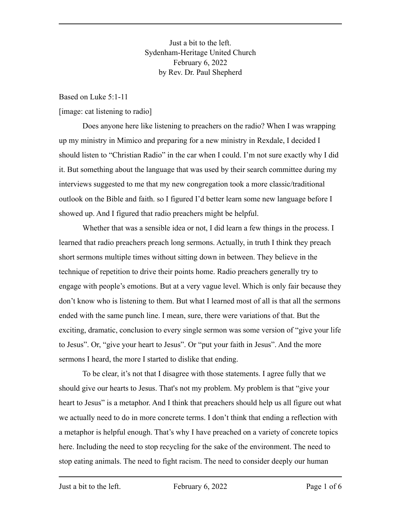Just a bit to the left. Sydenham-Heritage United Church February 6, 2022 by Rev. Dr. Paul Shepherd

Based on Luke 5:1-11

[image: cat listening to radio]

Does anyone here like listening to preachers on the radio? When I was wrapping up my ministry in Mimico and preparing for a new ministry in Rexdale, I decided I should listen to "Christian Radio" in the car when I could. I'm not sure exactly why I did it. But something about the language that was used by their search committee during my interviews suggested to me that my new congregation took a more classic/traditional outlook on the Bible and faith. so I figured I'd better learn some new language before I showed up. And I figured that radio preachers might be helpful.

Whether that was a sensible idea or not, I did learn a few things in the process. I learned that radio preachers preach long sermons. Actually, in truth I think they preach short sermons multiple times without sitting down in between. They believe in the technique of repetition to drive their points home. Radio preachers generally try to engage with people's emotions. But at a very vague level. Which is only fair because they don't know who is listening to them. But what I learned most of all is that all the sermons ended with the same punch line. I mean, sure, there were variations of that. But the exciting, dramatic, conclusion to every single sermon was some version of "give your life to Jesus". Or, "give your heart to Jesus". Or "put your faith in Jesus". And the more sermons I heard, the more I started to dislike that ending.

To be clear, it's not that I disagree with those statements. I agree fully that we should give our hearts to Jesus. That's not my problem. My problem is that "give your heart to Jesus" is a metaphor. And I think that preachers should help us all figure out what we actually need to do in more concrete terms. I don't think that ending a reflection with a metaphor is helpful enough. That's why I have preached on a variety of concrete topics here. Including the need to stop recycling for the sake of the environment. The need to stop eating animals. The need to fight racism. The need to consider deeply our human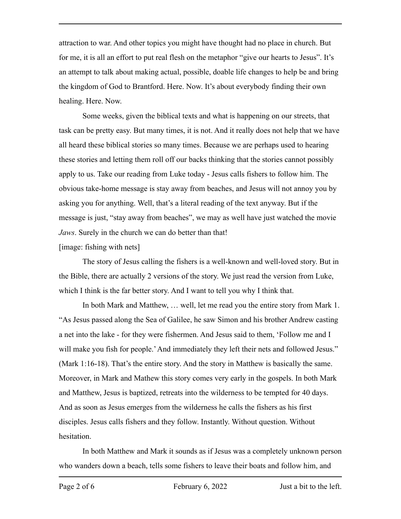attraction to war. And other topics you might have thought had no place in church. But for me, it is all an effort to put real flesh on the metaphor "give our hearts to Jesus". It's an attempt to talk about making actual, possible, doable life changes to help be and bring the kingdom of God to Brantford. Here. Now. It's about everybody finding their own healing. Here. Now.

Some weeks, given the biblical texts and what is happening on our streets, that task can be pretty easy. But many times, it is not. And it really does not help that we have all heard these biblical stories so many times. Because we are perhaps used to hearing these stories and letting them roll off our backs thinking that the stories cannot possibly apply to us. Take our reading from Luke today - Jesus calls fishers to follow him. The obvious take-home message is stay away from beaches, and Jesus will not annoy you by asking you for anything. Well, that's a literal reading of the text anyway. But if the message is just, "stay away from beaches", we may as well have just watched the movie *Jaws*. Surely in the church we can do better than that!

[image: fishing with nets]

The story of Jesus calling the fishers is a well-known and well-loved story. But in the Bible, there are actually 2 versions of the story. We just read the version from Luke, which I think is the far better story. And I want to tell you why I think that.

In both Mark and Matthew, … well, let me read you the entire story from Mark 1. "As Jesus passed along the Sea of Galilee, he saw Simon and his brother Andrew casting a net into the lake - for they were fishermen. And Jesus said to them, 'Follow me and I will make you fish for people.' And immediately they left their nets and followed Jesus.'' (Mark 1:16-18). That's the entire story. And the story in Matthew is basically the same. Moreover, in Mark and Mathew this story comes very early in the gospels. In both Mark and Matthew, Jesus is baptized, retreats into the wilderness to be tempted for 40 days. And as soon as Jesus emerges from the wilderness he calls the fishers as his first disciples. Jesus calls fishers and they follow. Instantly. Without question. Without hesitation.

In both Matthew and Mark it sounds as if Jesus was a completely unknown person who wanders down a beach, tells some fishers to leave their boats and follow him, and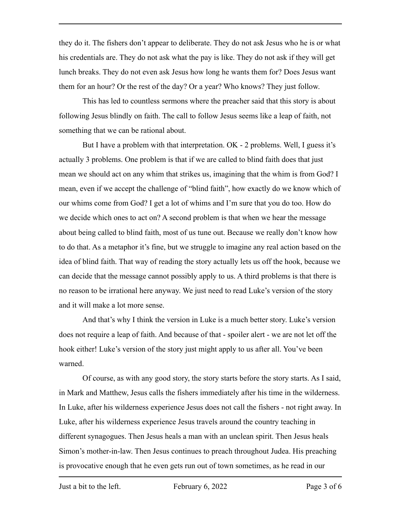they do it. The fishers don't appear to deliberate. They do not ask Jesus who he is or what his credentials are. They do not ask what the pay is like. They do not ask if they will get lunch breaks. They do not even ask Jesus how long he wants them for? Does Jesus want them for an hour? Or the rest of the day? Or a year? Who knows? They just follow.

This has led to countless sermons where the preacher said that this story is about following Jesus blindly on faith. The call to follow Jesus seems like a leap of faith, not something that we can be rational about.

But I have a problem with that interpretation. OK - 2 problems. Well, I guess it's actually 3 problems. One problem is that if we are called to blind faith does that just mean we should act on any whim that strikes us, imagining that the whim is from God? I mean, even if we accept the challenge of "blind faith", how exactly do we know which of our whims come from God? I get a lot of whims and I'm sure that you do too. How do we decide which ones to act on? A second problem is that when we hear the message about being called to blind faith, most of us tune out. Because we really don't know how to do that. As a metaphor it's fine, but we struggle to imagine any real action based on the idea of blind faith. That way of reading the story actually lets us off the hook, because we can decide that the message cannot possibly apply to us. A third problems is that there is no reason to be irrational here anyway. We just need to read Luke's version of the story and it will make a lot more sense.

And that's why I think the version in Luke is a much better story. Luke's version does not require a leap of faith. And because of that - spoiler alert - we are not let off the hook either! Luke's version of the story just might apply to us after all. You've been warned.

Of course, as with any good story, the story starts before the story starts. As I said, in Mark and Matthew, Jesus calls the fishers immediately after his time in the wilderness. In Luke, after his wilderness experience Jesus does not call the fishers - not right away. In Luke, after his wilderness experience Jesus travels around the country teaching in different synagogues. Then Jesus heals a man with an unclean spirit. Then Jesus heals Simon's mother-in-law. Then Jesus continues to preach throughout Judea. His preaching is provocative enough that he even gets run out of town sometimes, as he read in our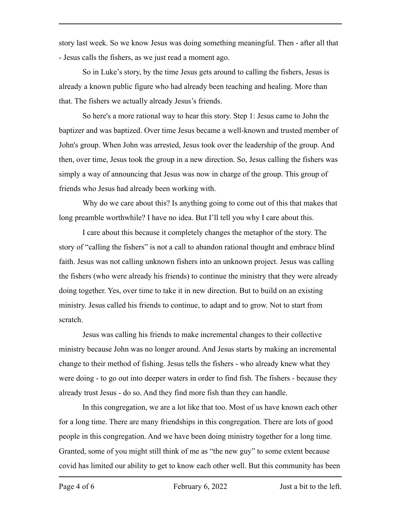story last week. So we know Jesus was doing something meaningful. Then - after all that - Jesus calls the fishers, as we just read a moment ago.

So in Luke's story, by the time Jesus gets around to calling the fishers, Jesus is already a known public figure who had already been teaching and healing. More than that. The fishers we actually already Jesus's friends.

So here's a more rational way to hear this story. Step 1: Jesus came to John the baptizer and was baptized. Over time Jesus became a well-known and trusted member of John's group. When John was arrested, Jesus took over the leadership of the group. And then, over time, Jesus took the group in a new direction. So, Jesus calling the fishers was simply a way of announcing that Jesus was now in charge of the group. This group of friends who Jesus had already been working with.

Why do we care about this? Is anything going to come out of this that makes that long preamble worthwhile? I have no idea. But I'll tell you why I care about this.

I care about this because it completely changes the metaphor of the story. The story of "calling the fishers" is not a call to abandon rational thought and embrace blind faith. Jesus was not calling unknown fishers into an unknown project. Jesus was calling the fishers (who were already his friends) to continue the ministry that they were already doing together. Yes, over time to take it in new direction. But to build on an existing ministry. Jesus called his friends to continue, to adapt and to grow. Not to start from scratch.

Jesus was calling his friends to make incremental changes to their collective ministry because John was no longer around. And Jesus starts by making an incremental change to their method of fishing. Jesus tells the fishers - who already knew what they were doing - to go out into deeper waters in order to find fish. The fishers - because they already trust Jesus - do so. And they find more fish than they can handle.

In this congregation, we are a lot like that too. Most of us have known each other for a long time. There are many friendships in this congregation. There are lots of good people in this congregation. And we have been doing ministry together for a long time. Granted, some of you might still think of me as "the new guy" to some extent because covid has limited our ability to get to know each other well. But this community has been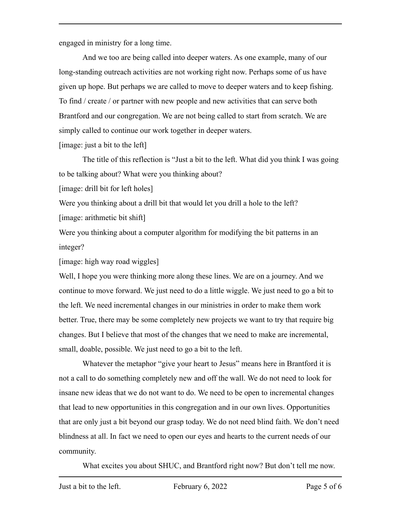engaged in ministry for a long time.

And we too are being called into deeper waters. As one example, many of our long-standing outreach activities are not working right now. Perhaps some of us have given up hope. But perhaps we are called to move to deeper waters and to keep fishing. To find / create / or partner with new people and new activities that can serve both Brantford and our congregation. We are not being called to start from scratch. We are simply called to continue our work together in deeper waters.

[image: just a bit to the left]

The title of this reflection is "Just a bit to the left. What did you think I was going to be talking about? What were you thinking about?

[image: drill bit for left holes]

Were you thinking about a drill bit that would let you drill a hole to the left?

[image: arithmetic bit shift]

Were you thinking about a computer algorithm for modifying the bit patterns in an integer?

[image: high way road wiggles]

Well, I hope you were thinking more along these lines. We are on a journey. And we continue to move forward. We just need to do a little wiggle. We just need to go a bit to the left. We need incremental changes in our ministries in order to make them work better. True, there may be some completely new projects we want to try that require big changes. But I believe that most of the changes that we need to make are incremental, small, doable, possible. We just need to go a bit to the left.

Whatever the metaphor "give your heart to Jesus" means here in Brantford it is not a call to do something completely new and off the wall. We do not need to look for insane new ideas that we do not want to do. We need to be open to incremental changes that lead to new opportunities in this congregation and in our own lives. Opportunities that are only just a bit beyond our grasp today. We do not need blind faith. We don't need blindness at all. In fact we need to open our eyes and hearts to the current needs of our community.

What excites you about SHUC, and Brantford right now? But don't tell me now.